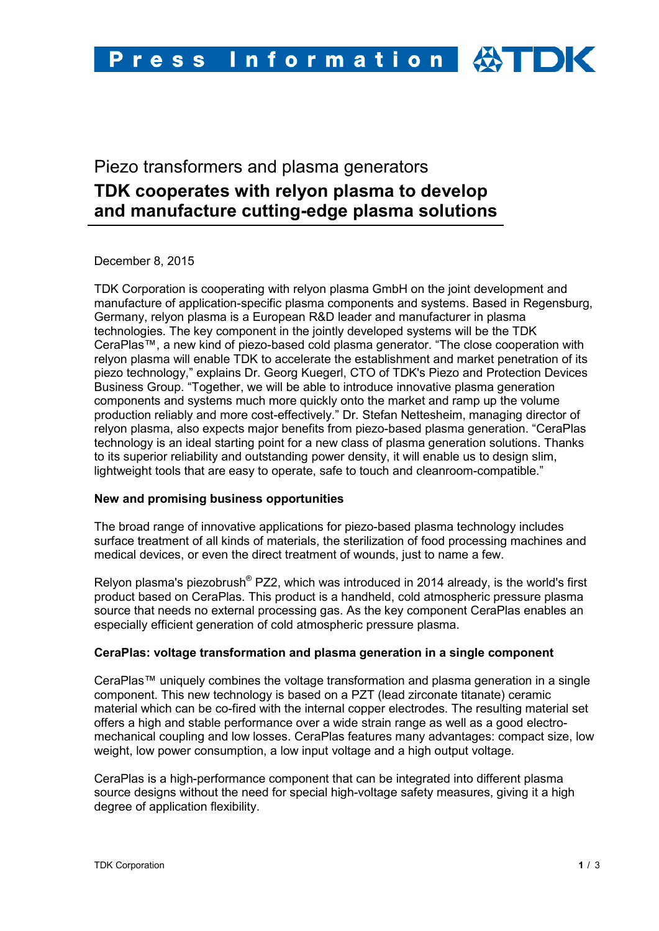# Piezo transformers and plasma generators **TDK cooperates with relyon plasma to develop and manufacture cutting-edge plasma solutions**

December 8, 2015

TDK Corporation is cooperating with relyon plasma GmbH on the joint development and manufacture of application-specific plasma components and systems. Based in Regensburg, Germany, relyon plasma is a European R&D leader and manufacturer in plasma technologies. The key component in the jointly developed systems will be the TDK CeraPlas™, a new kind of piezo-based cold plasma generator. "The close cooperation with relyon plasma will enable TDK to accelerate the establishment and market penetration of its piezo technology," explains Dr. Georg Kuegerl, CTO of TDK's Piezo and Protection Devices Business Group. "Together, we will be able to introduce innovative plasma generation components and systems much more quickly onto the market and ramp up the volume production reliably and more cost-effectively." Dr. Stefan Nettesheim, managing director of relyon plasma, also expects major benefits from piezo-based plasma generation. "CeraPlas technology is an ideal starting point for a new class of plasma generation solutions. Thanks to its superior reliability and outstanding power density, it will enable us to design slim, lightweight tools that are easy to operate, safe to touch and cleanroom-compatible."

# **New and promising business opportunities**

The broad range of innovative applications for piezo-based plasma technology includes surface treatment of all kinds of materials, the sterilization of food processing machines and medical devices, or even the direct treatment of wounds, just to name a few.

Relyon plasma's piezobrush<sup>®</sup> PZ2, which was introduced in 2014 already, is the world's first product based on CeraPlas. This product is a handheld, cold atmospheric pressure plasma source that needs no external processing gas. As the key component CeraPlas enables an especially efficient generation of cold atmospheric pressure plasma.

# **CeraPlas: voltage transformation and plasma generation in a single component**

CeraPlas™ uniquely combines the voltage transformation and plasma generation in a single component. This new technology is based on a PZT (lead zirconate titanate) ceramic material which can be co-fired with the internal copper electrodes. The resulting material set offers a high and stable performance over a wide strain range as well as a good electromechanical coupling and low losses. CeraPlas features many advantages: compact size, low weight, low power consumption, a low input voltage and a high output voltage.

CeraPlas is a high-performance component that can be integrated into different plasma source designs without the need for special high-voltage safety measures, giving it a high degree of application flexibility.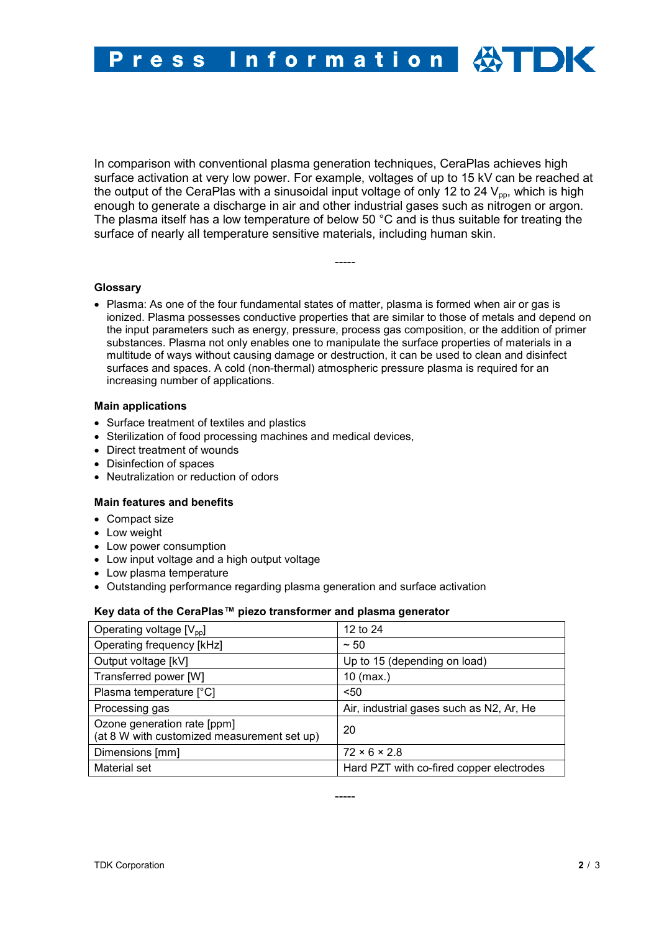

In comparison with conventional plasma generation techniques, CeraPlas achieves high surface activation at very low power. For example, voltages of up to 15 kV can be reached at the output of the CeraPlas with a sinusoidal input voltage of only 12 to 24  $V_{\text{nn}}$ , which is high enough to generate a discharge in air and other industrial gases such as nitrogen or argon. The plasma itself has a low temperature of below 50 °C and is thus suitable for treating the surface of nearly all temperature sensitive materials, including human skin.

-----

## **Glossary**

• Plasma: As one of the four fundamental states of matter, plasma is formed when air or gas is ionized. Plasma possesses conductive properties that are similar to those of metals and depend on the input parameters such as energy, pressure, process gas composition, or the addition of primer substances. Plasma not only enables one to manipulate the surface properties of materials in a multitude of ways without causing damage or destruction, it can be used to clean and disinfect surfaces and spaces. A cold (non-thermal) atmospheric pressure plasma is required for an increasing number of applications.

#### **Main applications**

- Surface treatment of textiles and plastics
- Sterilization of food processing machines and medical devices,
- Direct treatment of wounds
- Disinfection of spaces
- Neutralization or reduction of odors

# **Main features and benefits**

- Compact size
- Low weight
- Low power consumption
- Low input voltage and a high output voltage
- Low plasma temperature
- Outstanding performance regarding plasma generation and surface activation

# **Key data of the CeraPlas™ piezo transformer and plasma generator**

| Operating voltage $[V_{\text{op}}]$                                        | 12 to 24                                 |
|----------------------------------------------------------------------------|------------------------------------------|
| Operating frequency [kHz]                                                  | ~50                                      |
| Output voltage [kV]                                                        | Up to 15 (depending on load)             |
| Transferred power [W]                                                      | $10$ (max.)                              |
| Plasma temperature [°C]                                                    | $50$                                     |
| Processing gas                                                             | Air, industrial gases such as N2, Ar, He |
| Ozone generation rate [ppm]<br>(at 8 W with customized measurement set up) | 20                                       |
| Dimensions [mm]                                                            | $72 \times 6 \times 2.8$                 |
| Material set                                                               | Hard PZT with co-fired copper electrodes |